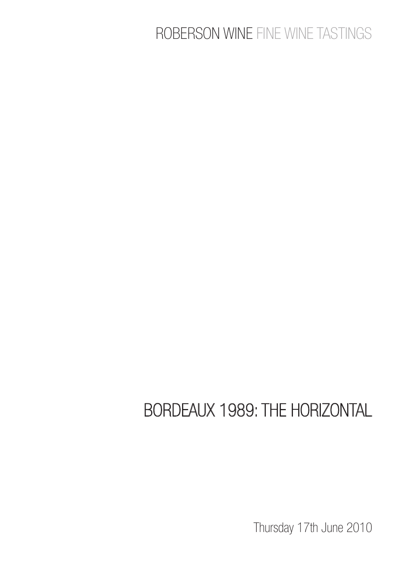# ROBERSON WINE FINE WINE TASTINGS

# BORDEAUX 1989: THE HORIZONTAL

Thursday 17th June 2010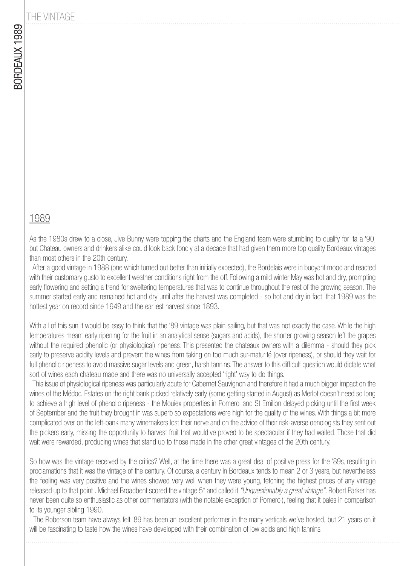### THE VINTAGE

#### 1989

As the 1980s drew to a close, Jive Bunny were topping the charts and the England team were stumbling to qualify for Italia '90, but Chateau owners and drinkers alike could look back fondly at a decade that had given them more top quality Bordeaux vintages than most others in the 20th century.

 After a good vintage in 1988 (one which turned out better than initially expected), the Bordelais were in buoyant mood and reacted with their customary gusto to excellent weather conditions right from the off. Following a mild winter May was hot and dry, prompting early flowering and setting a trend for sweltering temperatures that was to continue throughout the rest of the growing season. The summer started early and remained hot and dry until after the harvest was completed - so hot and dry in fact, that 1989 was the hottest year on record since 1949 and the earliest harvest since 1893.

With all of this sun it would be easy to think that the '89 vintage was plain sailing, but that was not exactly the case. While the high temperatures meant early ripening for the fruit in an analytical sense (sugars and acids), the shorter growing season left the grapes without the required phenolic (or physiological) ripeness. This presented the chateaux owners with a dilemma - should they pick early to preserve acidity levels and prevent the wines from taking on too much sur-maturité (over ripeness), or should they wait for full phenolic ripeness to avoid massive sugar levels and green, harsh tannins. The answer to this difficult question would dictate what sort of wines each chateau made and there was no universally accepted 'right' way to do things.

 This issue of physiological ripeness was particularly acute for Cabernet Sauvignon and therefore it had a much bigger impact on the wines of the Médoc. Estates on the right bank picked relatively early (some getting started in August) as Merlot doesn't need so long to achieve a high level of phenolic ripeness - the Mouiex properties in Pomerol and St Emilion delayed picking until the first week of September and the fruit they brought in was superb so expectations were high for the quality of the wines. With things a bit more complicated over on the left-bank many winemakers lost their nerve and on the advice of their risk-averse oenologists they sent out the pickers early, missing the opportunity to harvest fruit that would've proved to be spectacular if they had waited. Those that did wait were rewarded, producing wines that stand up to those made in the other great vintages of the 20th century.

So how was the vintage received by the critics? Well, at the time there was a great deal of positive press for the '89s, resulting in proclamations that it was the vintage of the century. Of course, a century in Bordeaux tends to mean 2 or 3 years, but nevertheless the feeling was very positive and the wines showed very well when they were young, fetching the highest prices of any vintage released up to that point. Michael Broadbent scored the vintage 5<sup>\*</sup> and called it "Unquestionably a great vintage". Robert Parker has never been quite so enthusiastic as other commentators (with the notable exception of Pomerol), feeling that it pales in comparison to its younger sibling 1990.

 The Roberson team have always felt '89 has been an excellent performer in the many verticals we've hosted, but 21 years on it will be fascinating to taste how the wines have developed with their combination of low acids and high tannins.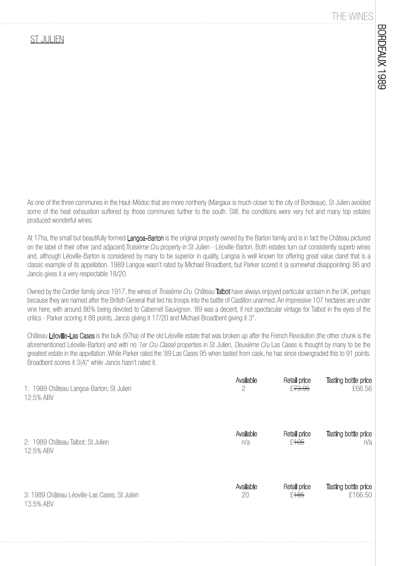#### THE WINES

#### ST JULIEN

As one of the three communes in the Haut-Médoc that are more northerly (Margaux is much closer to the city of Bordeaux), St Julien avoided some of the heat exhaustion suffered by those communes further to the south. Still, the conditions were very hot and many top estates produced wonderful wines.

At 17ha, the small but beautifully formed Langoa-Barton is the original property owned by the Barton family and is in fact the Château pictured on the label of their other (and adjacent) *Troisième Cru* property in St Julien - Léoville-Barton. Both estates turn out consistently superb wines and, although Léoville-Barton is considered by many to be superior in quality, Langoa is well known for offering great value claret that is a classic example of its appellation. 1989 Langoa wasn't rated by Michael Broadbent, but Parker scored it (a somewhat disappointing) 86 and Jancis gives it a very respectable 18/20.

Owned by the Cordier family since 1917, the wines of *Troisième Cru* Château **Talbot** have always enjoyed particular acclaim in the UK, perhaps because they are named after the British General that led his troops into the battle of Castillon unarmed. An impressive 107 hectares are under vine here, with around 86% being devoted to Cabernet Sauvignon. '89 was a decent, if not spectacular vintage for Talbot in the eyes of the critics - Parker scoring it 88 points, Jancis giving it 17/20 and Michael Broadbent giving it 3\*.

Château Léoville-Las Cases is the bulk (97ha) of the old Léoville estate that was broken up after the French Revolution (the other chunk is the aforementioned Léoville-Barton) and with no 1er Cru Classé properties in St Julien, Deuxième Cru Las Cases is thought by many to be the greatest estate in the appellation. While Parker rated the '89 Las Cases 95 when tasted from cask, he has since downgraded this to 91 points. Broadbent scores it 3(4)\* while Jancis hasn't rated it.

| 1: 1989 Château Langoa-Barton; St Julien      | Available | Retail price       | Tasting bottle price |
|-----------------------------------------------|-----------|--------------------|----------------------|
| 12.5% ABV                                     | 2         | £ <del>73.95</del> | £66.56               |
| 2: 1989 Château Talbot; St Julien             | Available | Retail price       | Tasting bottle price |
| 12.5% ABV                                     | n/a       | £105               | n/a                  |
| 3: 1989 Château Léoville-Las Cases; St Julien | Available | Retail price       | Tasting bottle price |
| 13.5% ABV                                     | 20        | £185               | £166.50              |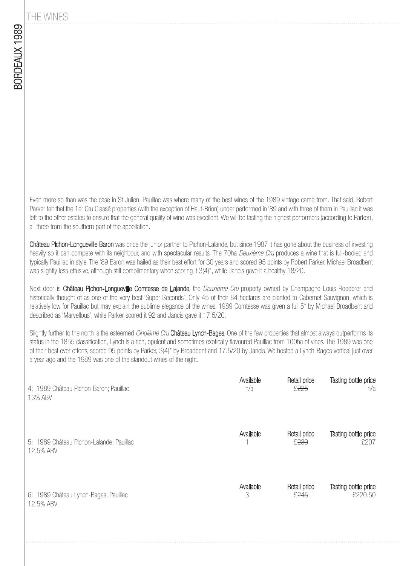THE WINES

Even more so than was the case in St Julien, Pauillac was where many of the best wines of the 1989 vintage came from. That said, Robert Parker felt that the 1er Cru Classé properties (with the exception of Haut-Brion) under performed in '89 and with three of them in Pauillac it was left to the other estates to ensure that the general quality of wine was excellent. We will be tasting the highest performers (according to Parker), all three from the southern part of the appellation.

Château Pichon-Longueville Baron was once the junior partner to Pichon-Lalande, but since 1987 it has gone about the business of investing heavily so it can compete with its neighbour, and with spectacular results. The 70ha Deuxième Cru produces a wine that is full-bodied and typically Pauillac in style. The '89 Baron was hailed as their best effort for 30 years and scored 95 points by Robert Parker. Michael Broadbent was slightly less effusive, although still complimentary when scoring it 3(4)\*, while Jancis gave it a healthy 18/20.

Next door is Château Pichon-Longueville Comtesse de Lalande, the Deuxième Cru property owned by Champagne Louis Roederer and historically thought of as one of the very best 'Super Seconds'. Only 45 of their 84 hectares are planted to Cabernet Sauvignon, which is relatively low for Pauillac but may explain the sublime elegance of the wines. 1989 Comtesse was given a full 5\* by Michael Broadbent and described as 'Marvellous', while Parker scored it 92 and Jancis gave it 17.5/20.

Slightly further to the north is the esteemed Cinqième Cru Château Lynch-Bages. One of the few properties that almost always outperforms its status in the 1855 classification, Lynch is a rich, opulent and sometimes exotically flavoured Pauillac from 100ha of vines. The 1989 was one of their best ever efforts, scored 95 points by Parker, 3(4)\* by Broadbent and 17.5/20 by Jancis. We hosted a Lynch-Bages vertical just over a year ago and the 1989 was one of the standout wines of the night.

| 4: 1989 Château Pichon-Baron; Pauillac   | Available | Retail price     | Tasting bottle price |
|------------------------------------------|-----------|------------------|----------------------|
| 13% ABV                                  | n/a       | £225             | n/a                  |
| 5: 1989 Château Pichon-Lalande; Pauillac | Available | Retail price     | Tasting bottle price |
| 12.5% ABV                                |           | £ <sup>230</sup> | £207                 |
| 6: 1989 Château Lynch-Bages; Pauillac    | Available | Retail price     | Tasting bottle price |
| 12.5% ABV                                | 3         | £ <del>245</del> | £220.50              |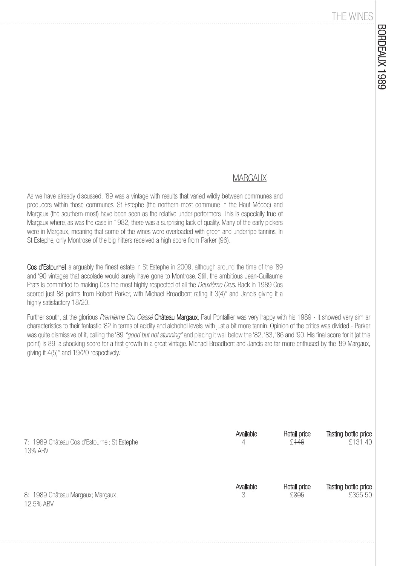#### THE WINES

#### **MARGAUX**

As we have already discussed, '89 was a vintage with results that varied wildly between communes and producers within those communes. St Estephe (the northern-most commune in the Haut-Médoc) and Margaux (the southern-most) have been seen as the relative under-performers. This is especially true of Margaux where, as was the case in 1982, there was a surprising lack of quality. Many of the early pickers were in Margaux, meaning that some of the wines were overloaded with green and underripe tannins. In St Estephe, only Montrose of the big hitters received a high score from Parker (96).

Cos d'Estournel is arguably the finest estate in St Estephe in 2009, although around the time of the '89 and '90 vintages that accolade would surely have gone to Montrose. Still, the ambitious Jean-Guillaume Prats is committed to making Cos the most highly respected of all the *Deuxième Crus*. Back in 1989 Cos scored just 88 points from Robert Parker, with Michael Broadbent rating it 3(4)\* and Jancis giving it a highly satisfactory 18/20.

Further south, at the glorious Premième Cru Classé Château Margaux, Paul Pontallier was very happy with his 1989 - it showed very similar characteristics to their fantastic '82 in terms of acidity and alchohol levels, with just a bit more tannin. Opinion of the critics was divided - Parker was quite dismissive of it, calling the '89 "good but not stunning" and placing it well below the '82, '83, '86 and '90. His final score for it (at this point) is 89, a shocking score for a first growth in a great vintage. Michael Broadbent and Jancis are far more enthused by the '89 Margaux, giving it 4(5)\* and 19/20 respectively.

| 7: 1989 Château Cos d'Estournel; St Estephe | Available | Retail price     | Tasting bottle price |
|---------------------------------------------|-----------|------------------|----------------------|
| 13% ABV                                     | 4         | £ <del>146</del> | £131.40              |
| 8: 1989 Château Margaux; Margaux            | Available | Retail price     | Tasting bottle price |
| 12.5% ABV                                   | 3         | £395             | £355.50              |